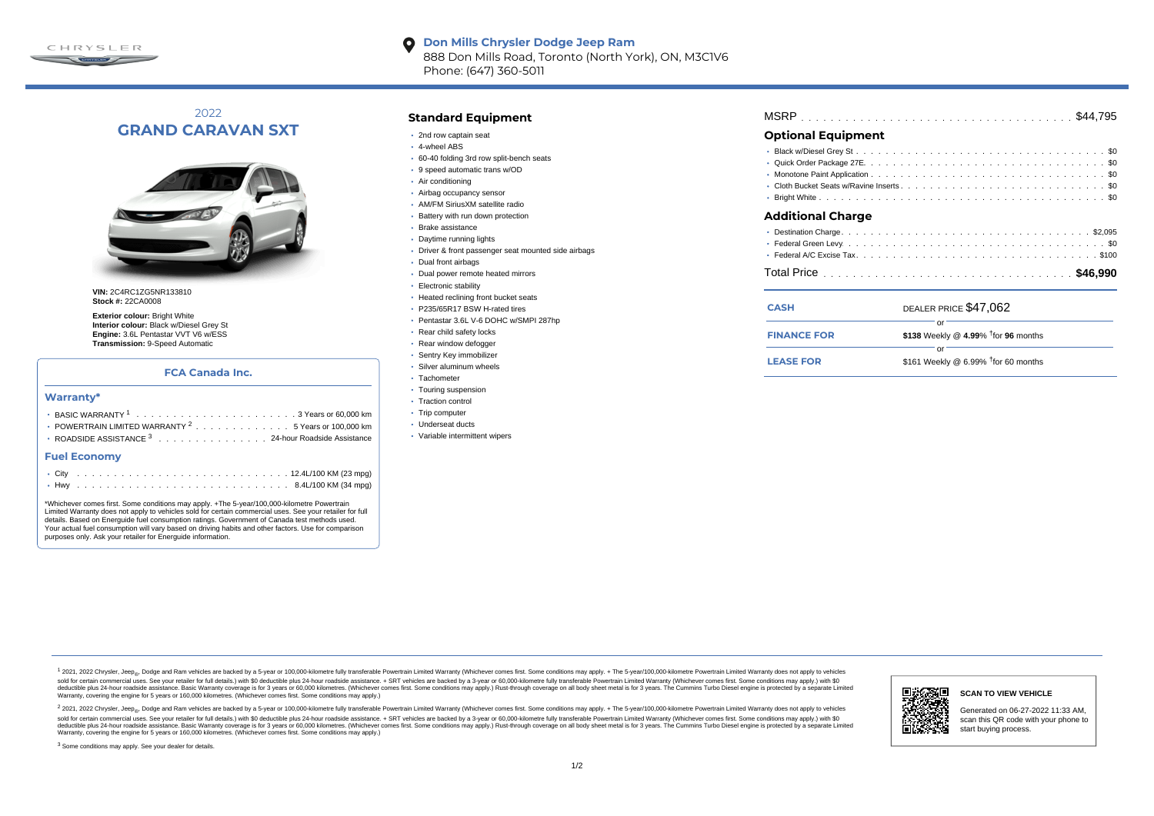

#### **Don Mills Chrysler Dodge Jeep Ram**  $\bullet$ 888 Don Mills Road, Toronto (North York), ON, M3C1V6 Phone: (647) 360-5011

# 2022 **GRAND CARAVAN SXT**



**VIN:** 2C4RC1ZG5NR133810 **Stock #:** 22CA0008

**Exterior colour:** Bright White **Interior colour:** Black w/Diesel Grey St **Engine:** 3.6L Pentastar VVT V6 w/ESS **Transmission:** 9-Speed Automatic

## **FCA Canada Inc.**

#### **Warranty\***

| <b>• POWERTRAIN LIMITED WARRANTY <math>^{2}</math>, , , , , , , , , , , , , , 5 Years or 100.000 km</b> |
|---------------------------------------------------------------------------------------------------------|
| • ROADSIDE ASSISTANCE 3 24-hour Roadside Assistance                                                     |

#### **Fuel Economy**

\*Whichever comes first. Some conditions may apply. +The 5-year/100,000-kilometre Powertrain Limited Warranty does not apply to vehicles sold for certain commercial uses. See your retailer for full details. Based on Energuide fuel consumption ratings. Government of Canada test methods used. Your actual fuel consumption will vary based on driving habits and other factors. Use for comparison purposes only. Ask your retailer for Energuide information.

### **Standard Equipment**

- 2nd row captain seat
- 4-wheel ABS
- 60-40 folding 3rd row split-bench seats
- 9 speed automatic trans w/OD
- Air conditioning
- Airbag occupancy sensor
- AM/FM SiriusXM satellite radio
- Battery with run down protection
- Brake assistance
- Daytime running lights
- Driver & front passenger seat mounted side airbags
- Dual front airbags
- Dual power remote heated mirrors
- Electronic stability
- Heated reclining front bucket seats
- P235/65R17 BSW H-rated tires
- Pentastar 3.6L V-6 DOHC w/SMPI 287hp
- Rear child safety locks
- Rear window defogger
- Sentry Key immobilizer
- Silver aluminum wheels
- · Tachometer
- Touring suspension
- Traction control
- Trip computer
- Underseat ducts
- Variable intermittent wipers

| <b>Optional Equipment</b> |  |  |
|---------------------------|--|--|

#### **Additional Charge**

| <b>CASH</b>        | DEALER PRICE \$47,062                           |  |  |  |  |  |  |  |  |
|--------------------|-------------------------------------------------|--|--|--|--|--|--|--|--|
|                    |                                                 |  |  |  |  |  |  |  |  |
| <b>FINANCE FOR</b> | \$138 Weekly @ 4.99% <sup>†</sup> for 96 months |  |  |  |  |  |  |  |  |
|                    |                                                 |  |  |  |  |  |  |  |  |
| <b>LEASE FOR</b>   | \$161 Weekly @ 6.99% $†$ for 60 months          |  |  |  |  |  |  |  |  |

1 2021, 2022 Chrysler, Jeep.... Dodge and Ram vehicles are backed by a 5-year or 100,000-kilometre fully transferable Powertrain Limited Warranty (Whichever comes first. Some conditions may apply. + The 5-year/100,000-kilo sold for certain commercial uses. See your retailer for full details) with \$0 deductible plus 24-hour madside assistance. + SRT vehicles are backed by a 3-year or 60.000-kilometre fully transferable Powertrain Limited Warr detuctible plus 24-hour roadside assistance. Basic Warranty coverage is for 3 years or 60,000 kilometres. Whichever comes first. Some conditions may apply.) Rust-through coverage on all body sheet metals for 3 years. The C Warranty, covering the engine for 5 years or 160,000 kilometres. (Whichever comes first. Some conditions may apply.)

<sup>2</sup> 2021, 2022 Chrysler, Jeep<sub>®</sub>, Dodge and Ram vehicles are backed by a 5-year or 100,000-kilometre fully transferable Powertrain Limited Warranty (Whichever comes first. Some conditions may apply. + The 5-year/100,000-ki sold for certain commercial uses. See your retailer for full details.) with \$0 deductible plus 24-hour roadside assistance. + SRT vehicles are backed by a 3-year or 60.000-kilometre fully transferable Powertrain Limited Wa deductible plus 24-hour roadside assistance. Basic Warranty coverage is for 3 years or 60,000 kilometres. (Whichever comes first. Some conditions may apply.) Rust-through coverage on all body sheet metal is for 3 years. Th



#### **SCAN TO VIEW VEHICLE**

Generated on 06-27-2022 11:33 AM, scan this QR code with your phone to start buying process.

<sup>3</sup> Some conditions may apply. See your dealer for details.